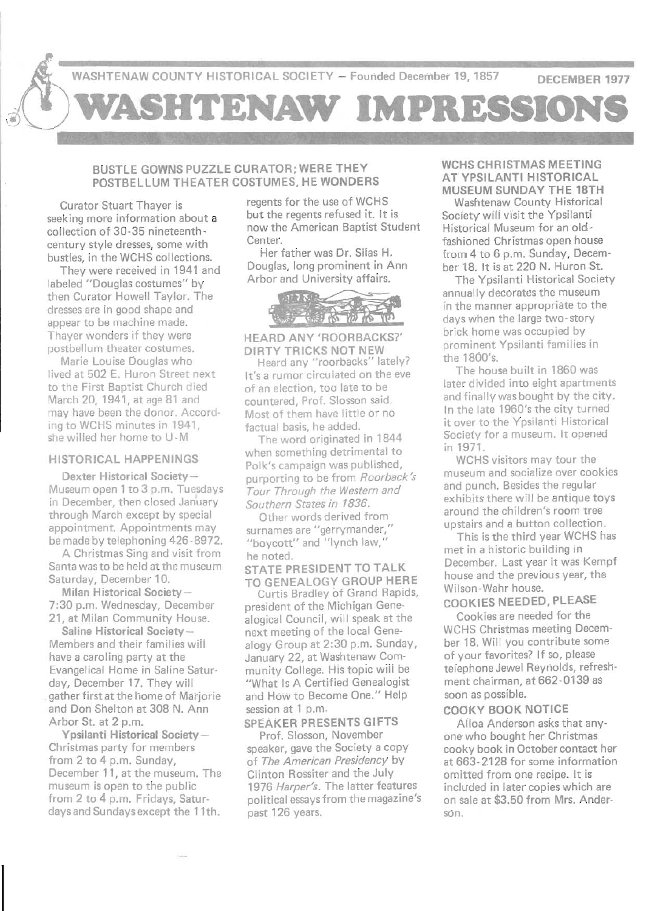

### BUSTLE GOWNS PUZZLE CURATOR; WERE THEY POSTBELLUM THEATER COSTUMES, HE WONDERS

Curator Stuart Thayer is seeking more information about a collection of 30- 35 nineteenthcentury style dresses, some with bustles, in the WCHS collections.

They were received in 1941 and labeled "Douglas costumes" by then Curator Howell Taylor. The dresses are in good shape and appear to be machine made. Thayer wonders if they were postbellum theater costumes.

Marie Louise Douglas who lived at 502 E. Huron Street next to the First Baptist Church died March 20, 1941, at age 81 and may have been the donor. According to WCHS minutes in 1941, she willed her home to U-M

#### HISTORICAL HAPPENINGS

Dexter Historical Society-Museum open 1 to 3 p.m. Tuesdays in December, then closed January through March except by special appointment. Appointments may be made by telephoning 426-8972.

A Christmas Sing and visit from Santa was to be held at the museum Saturday, December 10.

Milan Historical Society-7:30 p.m. Wednesday, December 21, at Milan Community House.

Saline Historical Society-Members and their families will have a caroling party at the Evangelical Home in Saline Saturday, December 17. They will . gather first at the home of Marjorie and Don Shelton at 308 N. Ann Arbor St. at 2 p.m.

Ypsilanti Historical Society-Christmas party for members from 2 to 4 p.m. Sunday, December 11, at the museum. The museum is open to the public from 2 to 4 p.m. Fridays, Saturdays and Sundays except the 11th.

regents for the use of WCHS but the regents refused it. It is now the American Baptist Student Center.

Her father was Dr. Silas H. Douglas, long prominent in Ann Arbor and University affairs.



HEARD ANY 'ROORBACKS?' DIRTY TRICKS NOT NEW

Heard any "roorbacks" lately? It's a rumor circulated on the eve of an election, too late to be countered, Prof. Siosson said. Most of them have little or no factual basis, he added.

The word originated in 1844 when something detrimental to Polk's campaign was published, purporting to be from *Roorback's Tour Through the Western and Southern States in 1836.* 

Other words derived from surnames are "gerrymander," "boycott" and "lynch law, he noted.

STATE PRESIDENT TO TALK TO GENEALOGY GROUP HERE

Curtis Bradley of Grand Rapids, president of the Michigan Genealogical Council, will speak at the next meeting of the local Genealogy Group at 2:30 p.m. Sunday, January 22, at Washtenaw Community College. His topic will be "What Is A Certified Genealogist and How to Become One." Help session at 1 p.m.

## SPEAKER PRESENTS GIFTS

Prof. Siosson, November speaker, gave the Society a copy of *The American Presidency* by Clinton Rossiter and the July *1976 Harper's.* The latter features political essays from the magazine's past 126 years.

#### WCHS CHRISTMAS MEETING AT YPSILANTI HISTORICAL MUSEUM SUNDAY THE 18TH

Washtenaw County Historical Society will visit the Ypsilanti Historical Museum for an oldfashioned Christmas open house from 4 to 6 p.m. Sunday, December 18. It is at 220 N. Huron St.

The Ypsilanti Historical Society annually decorates the museum in the manner appropriate to the days when the large two-story brick home was occupied by prominent Ypsilanti families in the 1800's.

The house built in 1860 was later divided into eight apartments and finally was bought by the city. In the late 1960's the city turned it over to the Ypsilanti Historical Society for a museum. It opened in 1971.

WCHS visitors may tour the museum and socialize over cookies and punch. Besides the regular exhibits there will be antique toys around the children's room tree upstairs and a button collection.

This is the third year WCHS has met in a historic building in December. Last year it was Kempf house and the previous year, the Wilson-Wahr house.

## COOKIES NEEDED, PLEASE

Cookies are needed for the WCHS Christmas meeting December 18. Will you contribute some of your favorites? If so, please telephone Jewel Reynolds, refreshment chairman, at 662-0139 as soon as possible.

## COOKY BOOK NOTICE

Alloa Anderson asks that anyone who bought her Christmas cooky book in October contact her at 663- 2128 for some information omitted from one recipe. It is included in later copies which are on sale at \$3.50 from Mrs. Anderson.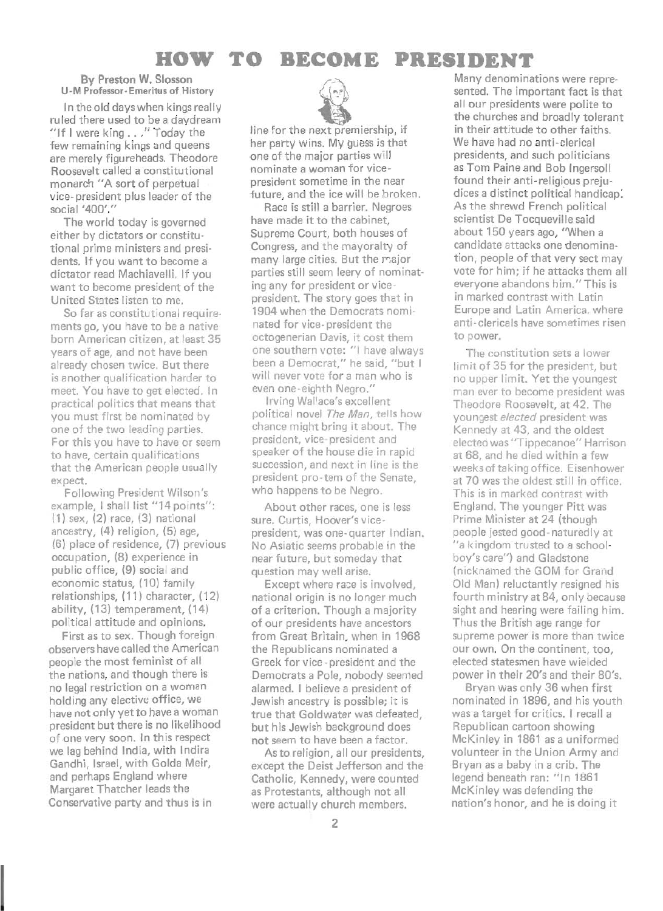# **HOW TO BECOME PRESIDENT**

#### **By** Preston W. Siosson U-M Professor-Emeritus of History

In the old days when kings really ruled there used to be a daydream "If I were king . . ." Today the few remaining kings and queens are merely figureheads. Theodore Roosevelt called a constitutional monarch "A sort of perpetual vice- president plus leader of the social '400'."

The world today is governed either by dictators or constitutional prime ministers and presidents. If you want to become a dictator read Machiavelli. If you want to become president of the United States listen to me.

So far as constitutional requirements go, you have to be a native born American citizen, at least 35 years of age, and not have been already chosen twice. But there is another qualification harder to meet. You have to get elected. In practical politics that means that you must first be nominated by one of the two leading parties. For this you have to have or seem to have, certain qualifications that the American people usually expect.

Following President Wilson's example, I shall list "14 points": (1) sex, (2) race, (3) national ancestry, (4) religion, (5) age, (6) place of residence, (7) previous occupation, (8) experience in public office, (9) social and economic status, (10) family relationships, (11) character, (12) ability, (13) temperament, (14) political attitude and opinions.

First as to sex. Though foreign observers have called the American people the most feminist of all the nations, and though there is no legal restriction on a woman holding any elective office, we have not only yet to have a woman president but there is no likelihood of one very soon. In this respect we lag behind India, with Indira Gandhi, Israel, with Golda Meir, and perhaps England where Margaret Thatcher leads the Conservative party and thus is in



line for the next premiership, if her party wins. My guess is that one of the major parties will nominate a woman for vicepresident sometime in the near future, and the ice will be broken.

Race is still a barrier. Negroes have made it to the cabinet, Supreme Court, both houses of Congress, and the mayoralty of many large cities. But the major parties still seem leery of nominating any for president or vicepresident. The story goes that in 1904 when the Democrats nominated for vice-president the octogenerian Davis, it cost them one southern vote: "1 have always been a Democrat," he said, "but I will never vote for a man who is even one- eighth Negro."

Irving Wallace's excellent political novel *The Man,* tells how chance might bring it about. The president, vice- president and speaker of the house die in rapid succession, and next in line is the president pro-tem of the Senate, who happens to be Negro.

About other races, one is less sure. Curtis, Hoover's vicepresident, was one-quarter Indian. No Asiatic seems probable in the near future, but someday that question may well arise.

Except where race is involved, national origin is no longer much of a criterion. Though a majority of our presidents have ancestors from Great Britain, when in 1968 the Republicans nominated a Greek for vice -president and the Democrats a Pole, nobody seemed alarmed. I believe a president of Jewish ancestry is possible; it is true that Goldwater was defeated, but his Jewish background does not seem to have been a factor.

Asto religion, all our presidents, except the Deist Jefferson and the Catholic, Kennedy, were counted as Protestants, although not all were actually church members.

Many denominations were represented. The important fact is that all our presidents were polite to the churches and broadly tolerant in their attitude to other faiths. We have had no anti-clerical presidents, and such politicians as Tom Paine and Bob Ingersoll found their anti-religious prejudices a distinct political handicap: As the shrewd French political scientist De Tocqueville said about 150 years ago, "When a candidate attacks one denomination, people of that very sect may vote for him; if he attacks them all everyone abandons him." This is in marked contrast with Latin Europe and Latin America, where anti-clericals have sometimes risen to power.

The constitution sets a lower limit of 35 for the president, but no upper limit. Yet the youngest man ever to become president was Theodore Roosevelt, at 42. The you ngest *elected* president was Kennedy at 43, and the oldest elected was "Tippecanoe" Harrison at 68, and he died within a few weeks of taking office. Eisenhower at 70 was the oldest still in office. This is in marked contrast with England. The younger Pitt was Prime Minister at 24 (though people jested good -naturedly at "a kingdom trusted to a schoolboy's care") and Gladstone (nicknamed the GOM for Grand Old Man) reluctantly resigned his fourth ministry at 84, only because sight and hearing were failing him. Thus the British age range for supreme power is more than twice our own. On the continent, too, elected statesmen have wielded power in their 20's and their 80's.

Bryan was only 36 when first nominated in 1896, and his youth was a target for critics. I recall a Republican cartoon showing McKinley in 1861 as a uniformed volunteer in the Union Army and Bryan as a baby in a crib. The legend beneath ran: "In 1861 McKinley was defending the nation's honor, and he is doing it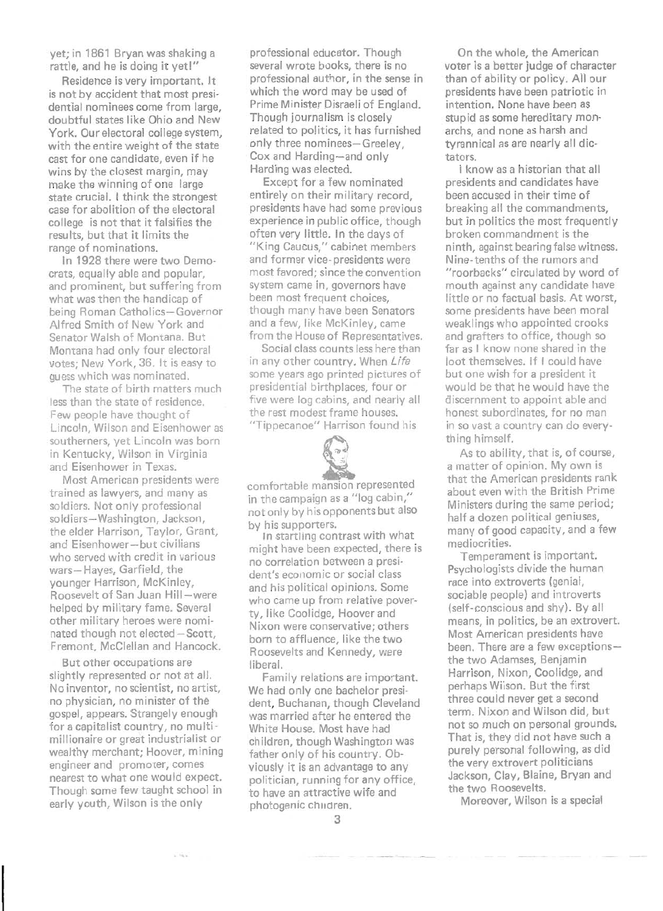yet; in 1861 8ryan was shaking a rattle, and he is doing it yet!"

Residence is very important. It is not by accident that most presidential nominees come from large. doubtful states like Ohio and New York. Our electoral college system, with the entire weight of the state cast for one candidate, even if he wins by the closest margin, may make the winning of one large state crucial. I think the strongest case for abolition of the electoral college is not that it falsifies the results, but that it limits the range of nominations.

In 1928 there were two Democrats, equally able and popular, and prominent, but suffering from what was then the handicap of being Roman Catholics-Governor Alfred Smith of New York and Senator Walsh of Montana. But Montana had only four electoral votes; New York, 36. It is easy to guess which was nominated.

The state of birth matters much less than the state of residence. Few people have thought of Lincoln, Wilson and Eisenhower as southerners, yet Lincoln was born in Kentucky, Wilson in Virginia and Eisenhower in Texas.

Most American presidents were trained as lawyers, and many as soldiers. Not only professional soldiers-Washington, Jackson, the elder Harrison, Taylor, Grant, and Eisenhower-but civilians who served with credit in various wars- Hayes, Garfield, the younger Harrison, McKinley, Roosevelt of San Juan Hill-were helped by military fame. Several other military heroes were nominated though not elected-Scott, Fremont. McClellan and Hancock.

But other occupations are slightly represented or not at all. No inventor, no scientist, no artist, no physician, no minister of the gospel, appears. Strangely enough for a capitalist country, no multimillionaire or great industrialist or wealthy merchant; Hoover, mining engineer and promoter, comes nearest to what one would expect. Though some few taught school in early youth, Wilson is the only

professional educator. Though several wrote books, there is no professional author, in the sense in which the word may be used of Prime Minister Disraeli of England. Though journalism is closely related to politics, it has furnished only three nominees-Greeley, Cox and Harding-and only Harding was elected.

Except for a few nominated entirely on their military record, presidents have had some previous experience in public office, though often very little. In the days of "King Caucus," cabinet members and former vice- presidents were most favored; since the convention system came in, governors have been most frequent choices, though many have been Senators and a few, like McKinley, came from the House of Representatives.

Social class counts less here than in any other country. When Life some years ago printed pictures of presidential birthplaces, four or five were log cabins, and nearly all the rest modest frame houses. "Tippecanoe" Harrison found his



comfortable mansion represented in the campaign as a "log cabin," not only by his opponents but also by his supporters.

In startling contrast with what might have been expected, there is no correlation between a president's economic or social class and his political opinions. Some who came up from relative poverty, like Coolidge, Hoover and Nixon were conservative; others born to affluence, like the two Roosevelts and Kennedy, were liberal.

Family relations are important. We had only one bachelor president, Buchanan, though Cleveland was married after he entered the White House. Most have had children, though Washington was father only of his country. Obviously it is an advantage to any politician, running for any office, to have an attractive wife and photogenic Children.

On the whole, the American voter is a better judge of character than of ability or policy. All our presidents have been patriotic in intention. None have been as stupid as some hereditary monarchs, and none as harsh and tyrannical as are nearly all dictators.

I know as a historian that all presidents and candidates have been accused in their time of breaking all the commandments, but in politics the most frequently broken commandment is the ninth, against bearing false witness. Nine-tenths of the rumors and "roorbacks" circulated by word of mouth against any candidate have little or no factual basis. At worst, some presidents have been moral weaklings who appointed crooks and grafters to office, though so far as I know none shared in the loot themselves. If I could have but one wish for a president it would be that he would have the discernment to appoint able and honest subordinates, for no man in so vast a country can do everything himself.

As to ability, that is, of course, a matter of opinion. My own is that the American presidents rank about even with the British Prime Ministers during the same period; half a dozen political geniuses, many of good capacity, and a few mediocrities.

Temperament is important. Psychologists divide the human race into extroverts (genial, sociable people) and introverts (self-conscious and shy). By all means, in politics, be an extrovert. Most American presidents have been. There are a few exceptionsthe two Adamses, Benjamin Harrison, Nixon, Coolidge, and perhaps Wilson. But the first three could never get a second term. Nixon and Wilson did, but not so much on personal grounds. That is, they did not have such a purely personal following, as did the very extrovert politicians Jackson, Clay, Blaine, Bryan and the two Roosevelts.

Moreover, Wilson is a special